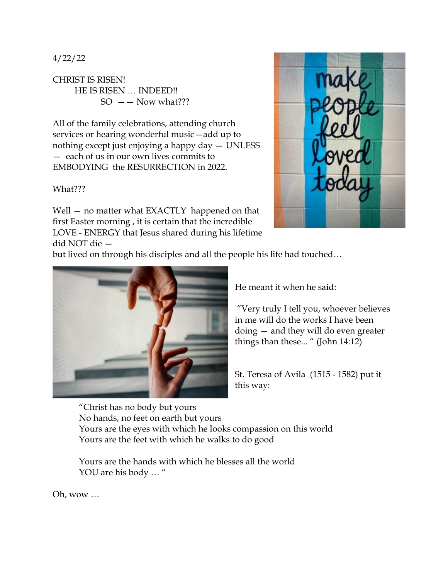4/22/22

CHRIST IS RISEN! HE IS RISEN … INDEED!!  $SO = -$  Now what???

All of the family celebrations, attending church services or hearing wonderful music—add up to nothing except just enjoying a happy day — UNLESS — each of us in our own lives commits to EMBODYING the RESURRECTION in 2022.

What???

Well – no matter what EXACTLY happened on that first Easter morning , it is certain that the incredible LOVE - ENERGY that Jesus shared during his lifetime did NOT die —



but lived on through his disciples and all the people his life had touched…



He meant it when he said:

"Very truly I tell you, whoever believes in me will do the works I have been doing — and they will do even greater things than these... " (John 14:12)

St. Teresa of Avila (1515 - 1582) put it this way:

"Christ has no body but yours No hands, no feet on earth but yours Yours are the eyes with which he looks compassion on this world Yours are the feet with which he walks to do good

Yours are the hands with which he blesses all the world YOU are his body ... "

Oh, wow …